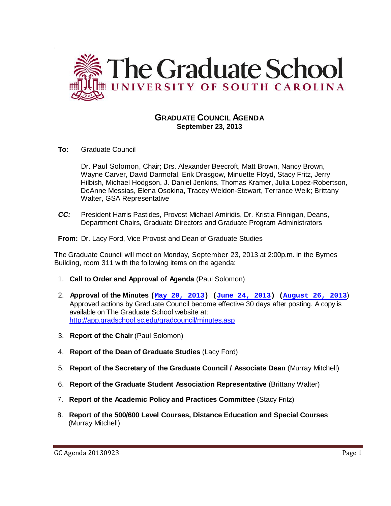

## **GRADUATE COUNCIL AGENDA September 23, 2013**

**To:** Graduate Council

`

Dr. Paul Solomon, Chair; Drs. Alexander Beecroft, Matt Brown, Nancy Brown, Wayne Carver, David Darmofal, Erik Drasgow, Minuette Floyd, Stacy Fritz, Jerry Hilbish, Michael Hodgson, J. Daniel Jenkins, Thomas Kramer, Julia Lopez-Robertson, DeAnne Messias, Elena Osokina, Tracey Weldon-Stewart, Terrance Weik; Brittany Walter, GSA Representative

- *CC:* President Harris Pastides, Provost Michael Amiridis, Dr. Kristia Finnigan, Deans, Department Chairs, Graduate Directors and Graduate Program Administrators
- **From:** Dr. Lacy Ford, Vice Provost and Dean of Graduate Studies

The Graduate Council will meet on Monday, September 23, 2013 at 2:00p.m. in the Byrnes Building, room 311 with the following items on the agenda:

- 1. **Call to Order and Approval of Agenda** (Paul Solomon)
- 2. **Approval of the Minutes (May 20, 2013) (June 24, 2013) (August 26, 2013**) Approved actions by Graduate Council become effective 30 days after posting. A copy is available on The Graduate School website at: <http://app.gradschool.sc.edu/gradcouncil/minutes.asp>
- 3. **Report of the Chair** (Paul Solomon)
- 4. **Report of the Dean of Graduate Studies** (Lacy Ford)
- 5. **Report of the Secretary of the Graduate Council / Associate Dean** (Murray Mitchell)
- 6. **Report of the Graduate Student Association Representative** (Brittany Walter)
- 7. **Report of the Academic Policy and Practices Committee** (Stacy Fritz)
- 8. **Report of the 500/600 Level Courses, Distance Education and Special Courses** (Murray Mitchell)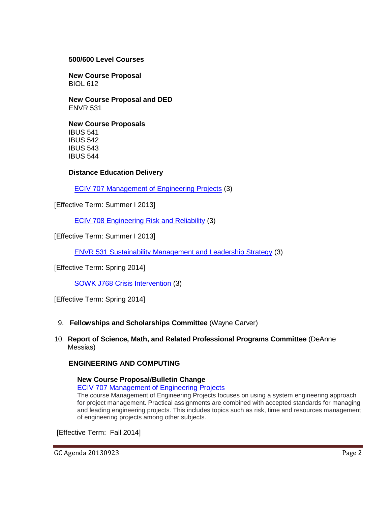## **500/600 Level Courses**

**New Course Proposal** BIOL 612

**New Course Proposal and DED** ENVR 531

**New Course Proposals** IBUS 541 IBUS 542 IBUS 543 IBUS 544

## **Distance Education Delivery**

ECIV 707 Management of Engineering Projects (3)

[Effective Term: Summer I 2013]

ECIV 708 Engineering Risk and Reliability (3)

[Effective Term: Summer I 2013]

ENVR 531 Sustainability Management and Leadership Strategy (3)

[Effective Term: Spring 2014]

SOWK J768 Crisis Intervention (3)

[Effective Term: Spring 2014]

### 9. **Fellowships and Scholarships Committee** (Wayne Carver)

10. **Report of Science, Math, and Related Professional Programs Committee** (DeAnne Messias)

## **ENGINEERING AND COMPUTING**

**New Course Proposal/Bulletin Change** ECIV 707 Management of Engineering Projects

The course Management of Engineering Projects focuses on using a system engineering approach for project management. Practical assignments are combined with accepted standards for managing and leading engineering projects. This includes topics such as risk, time and resources management of engineering projects among other subjects.

[Effective Term: Fall 2014]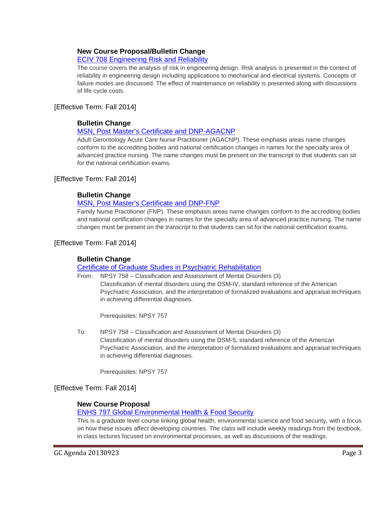# **New Course Proposal/Bulletin Change**

## ECIV 708 Engineering Risk and Reliability

The course covers the analysis of risk in engineering design. Risk analysis is presented in the context of reliability in engineering design including applications to mechanical and electrical systems. Concepts of failure modes are discussed. The effect of maintenance on reliability is presented along with discussions of life cycle costs.

## [Effective Term: Fall 2014]

## **Bulletin Change**

## MSN, Post Master's Certificate and DNP-AGACNP

Adult Gerontology Acute Care Nurse Practitioner (AGACNP). These emphasis areas name changes conform to the accrediting bodies and national certification changes in names for the specialty area of advanced practice nursing. The name changes must be present on the transcript to that students can sit for the national certification exams.

## [Effective Term: Fall 2014]

## **Bulletin Change**

## MSN, Post Master's Certificate and DNP-FNP

Family Nurse Practitioner (FNP). These emphasis areas name changes conform to the accrediting bodies and national certification changes in names for the specialty area of advanced practice nursing. The name changes must be present on the transcript to that students can sit for the national certification exams.

## [Effective Term: Fall 2014]

## **Bulletin Change**

### Certificate of Graduate Studies in Psychiatric Rehabilitation

From: NPSY 758 – Classification and Assessment of Mental Disorders (3) Classification of mental disorders using the DSM-IV, standard reference of the American Psychiatric Association, and the interpretation of formalized evaluations and appraisal techniques in achieving differential diagnoses.

Prerequisites: NPSY 757

To: NPSY 758 – Classification and Assessment of Mental Disorders (3) Classification of mental disorders using the DSM-5, standard reference of the American Psychiatric Association, and the interpretation of formalized evaluations and appraisal techniques in achieving differential diagnoses.

Prerequisites: NPSY 757

## [Effective Term: Fall 2014]

## **New Course Proposal**

ENHS 797 Global Environmental Health & Food Security

This is a graduate level course linking global health, environmental science and food security, with a focus on how these issues affect developing countries. The class will include weekly readings from the textbook, in class lectures focused on environmental processes, as well as discussions of the readings.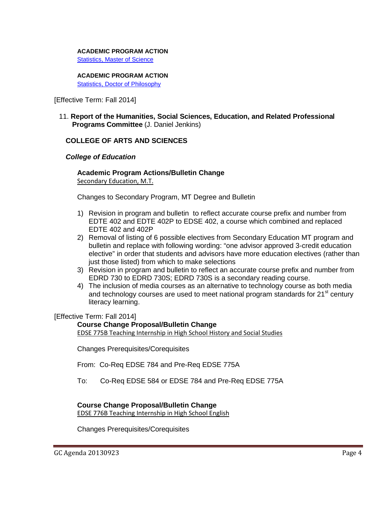### **ACADEMIC PROGRAM ACTION**

Statistics, Master of Science

# **ACADEMIC PROGRAM ACTION**

Statistics, Doctor of Philosophy

[Effective Term: Fall 2014]

11. **Report of the Humanities, Social Sciences, Education, and Related Professional Programs Committee** (J. Daniel Jenkins)

## **COLLEGE OF ARTS AND SCIENCES**

## *College of Education*

## **Academic Program Actions/Bulletin Change**

Secondary Education, M.T.

Changes to Secondary Program, MT Degree and Bulletin

- 1) Revision in program and bulletin to reflect accurate course prefix and number from EDTE 402 and EDTE 402P to EDSE 402, a course which combined and replaced EDTE 402 and 402P
- 2) Removal of listing of 6 possible electives from Secondary Education MT program and bulletin and replace with following wording: "one advisor approved 3-credit education elective" in order that students and advisors have more education electives (rather than just those listed) from which to make selections
- 3) Revision in program and bulletin to reflect an accurate course prefix and number from EDRD 730 to EDRD 730S; EDRD 730S is a secondary reading course.
- 4) The inclusion of media courses as an alternative to technology course as both media and technology courses are used to meet national program standards for  $21<sup>st</sup>$  century literacy learning.

[Effective Term: Fall 2014]

## **Course Change Proposal/Bulletin Change**

EDSE 775B Teaching Internship in High School History and Social Studies

Changes Prerequisites/Corequisites

From: Co-Req EDSE 784 and Pre-Req EDSE 775A

To: Co-Req EDSE 584 or EDSE 784 and Pre-Req EDSE 775A

## **Course Change Proposal/Bulletin Change**

EDSE 776B Teaching Internship in High School English

Changes Prerequisites/Corequisites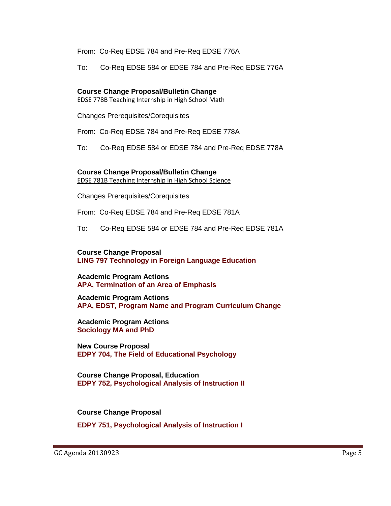From: Co-Req EDSE 784 and Pre-Req EDSE 776A

To: Co-Req EDSE 584 or EDSE 784 and Pre-Req EDSE 776A

## **Course Change Proposal/Bulletin Change**

EDSE 778B Teaching Internship in High School Math

Changes Prerequisites/Corequisites

From: Co-Req EDSE 784 and Pre-Req EDSE 778A

To: Co-Req EDSE 584 or EDSE 784 and Pre-Req EDSE 778A

# **Course Change Proposal/Bulletin Change**

EDSE 781B Teaching Internship in High School Science

Changes Prerequisites/Corequisites

From: Co-Req EDSE 784 and Pre-Req EDSE 781A

To: Co-Req EDSE 584 or EDSE 784 and Pre-Req EDSE 781A

**Course Change Proposal [LING 797 Technology in Foreign Language Education](http://gradschool.sc.edu/facstaff/gradcouncil/2013/LING%20797%20CCP%207-30-13_Redacted.pdf)**

**Academic Program Actions [APA, Termination of an Area of Emphasis](http://gradschool.sc.edu/facstaff/gradcouncil/2013/APA%20Termination%20of%20Area%20of%20Emphasis%207-31-13_Redacted.pdf)**

**Academic Program Actions [APA, EDST, Program Name and Program Curriculum Change](http://gradschool.sc.edu/facstaff/gradcouncil/2013/APA,%20Program%20Name%20Change_Redacted.pdf)**

**Academic Program Actions [Sociology MA and PhD](http://gradschool.sc.edu/facstaff/gradcouncil/2013/APA%20Sociology%20Program%20Curriculum%20Change_Redacted.pdf)**

**New Course Proposal [EDPY 704, The Field of Educational Psychology](http://gradschool.sc.edu/facstaff/gradcouncil/2013/EDPY%20704%20NCP%207-30-13_Redacted.pdf)**

**Course Change Proposal, Education [EDPY 752, Psychological Analysis of Instruction II](http://gradschool.sc.edu/facstaff/gradcouncil/2013/EDPY%20752%20CCP%207-30-13_Redacted.pdf)**

**Course Change Proposal**

**[EDPY 751, Psychological Analysis of Instruction I](http://gradschool.sc.edu/facstaff/gradcouncil/2013/EDPY%20751%20CCP%207-30-13_Redacted.pdf)**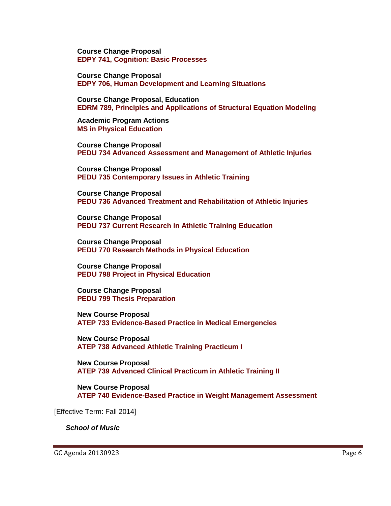**Course Change Proposal [EDPY 741, Cognition: Basic Processes](http://gradschool.sc.edu/facstaff/gradcouncil/2013/EDPY%20741%20CCP%207-30-13_Redacted.pdf)**

**Course Change Proposal [EDPY 706, Human Development and Learning Situations](http://gradschool.sc.edu/facstaff/gradcouncil/2013/EDPY%20706%20CCP%207-30-13_Redacted.pdf)**

**Course Change Proposal, Education EDRM 789, [Principles and Applications of Structural Equation Modeling](http://gradschool.sc.edu/facstaff/gradcouncil/2013/EDRM%20789%20CCP%207-30-13_Redacted.pdf)**

**Academic Program Actions [MS in Physical Education](http://gradschool.sc.edu/facstaff/gradcouncil/2013/MS%20in%20Physical%20Education%20APA%20BCH_Redacted.pdf)** 

**Course Change Proposal [PEDU 734 Advanced Assessment and Management of Athletic Injuries](http://gradschool.sc.edu/facstaff/gradcouncil/2013/PEDU%20734%20CCP%204-2-13_Redacted.pdf)** 

**Course Change Proposal [PEDU 735 Contemporary Issues in Athletic Training](http://gradschool.sc.edu/facstaff/gradcouncil/2013/PEDU%20735%20Contemporary%20Issues%20in%20Athletic%20Training%20CCP%20BCH_Redacted%208-1-13.pdf)** 

**Course Change Proposal [PEDU 736 Advanced Treatment and Rehabilitation of Athletic Injuries](http://gradschool.sc.edu/facstaff/gradcouncil/2013/PEDU%20736%20Advanced%20Treatment%20and%20Rehabilitation%20of%20Athletic%20Injuries%20CCP%20BCH%208-1-13.pdf)** 

**Course Change Proposal [PEDU 737 Current Research in Athletic Training Education](http://gradschool.sc.edu/facstaff/gradcouncil/2013/PEDU%20737%20Current%20Research%20in%20Athletic%20Training%20Education%20CCP%20BCH%208-1-13.pdf)** 

**Course Change Proposal [PEDU 770 Research Methods in Physical Education](http://gradschool.sc.edu/facstaff/gradcouncil/2013/PEDU%20770%20Research%20Methods%20in%20Physical%20Education%20CCP%20BCH.pdf)** 

**Course Change Proposal [PEDU 798 Project in Physical Education](http://gradschool.sc.edu/facstaff/gradcouncil/2013/PEDU%20798%20Project%20in%20Physical%20Education%20CCP%20BCH.pdf)** 

**Course Change Proposal [PEDU 799 Thesis Preparation](http://gradschool.sc.edu/facstaff/gradcouncil/2013/PEDU%20799%20Thesis%20Preparation%20CCP%20BCH.pdf)** 

**New Course Proposal [ATEP 733 Evidence-Based Practice in Medical Emergencies](http://gradschool.sc.edu/facstaff/gradcouncil/2013/ATEP%20733%20Evidence%20Based%20Practice%20in%20Medical%20Emergencies%20NCP.pdf)** 

**New Course Proposal [ATEP 738 Advanced Athletic Training Practicum I](http://gradschool.sc.edu/facstaff/gradcouncil/2013/ATEP%20738%20Advanced%20Athletic%20Training%20Practicum%20I%20NCP.pdf)** 

**New Course Proposal [ATEP 739 Advanced Clinical Practicum in Athletic Training II](http://gradschool.sc.edu/facstaff/gradcouncil/2013/ATEP%20739%20Advanced%20Clinical%20Practicum%20in%20Athletic%20Training%20II%20NCP.pdf)** 

**New Course Proposal [ATEP 740 Evidence-Based Practice in Weight Management Assessment](http://gradschool.sc.edu/facstaff/gradcouncil/2013/ATEP%20740%20Evidenced%20Based%20Practice%20in%20Weight%20Management%20Assessment%20NCP.pdf)** 

[Effective Term: Fall 2014]

#### *School of Music*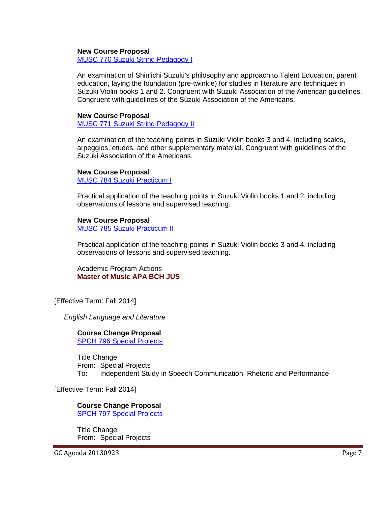### **New Course Proposal**

MUSC 770 Suzuki String Pedagogy I

An examination of Shin'ichi Suzuki's philosophy and approach to Talent Education, parent education, laying the foundation (pre-twinkle) for studies in literature and techniques in Suzuki Violin books 1 and 2. Congruent with Suzuki Association of the American guidelines. Congruent with guidelines of the Suzuki Association of the Americans.

### **New Course Proposal**

MUSC 771 Suzuki String Pedagogy II

An examination of the teaching points in Suzuki Violin books 3 and 4, including scales, arpeggios, etudes, and other supplementary material. Congruent with guidelines of the Suzuki Association of the Americans.

#### **New Course Proposal**

MUSC 784 Suzuki Practicum I

Practical application of the teaching points in Suzuki Violin books 1 and 2, including observations of lessons and supervised teaching.

#### **New Course Proposal** MUSC 785 Suzuki Practicum II

Practical application of the teaching points in Suzuki Violin books 3 and 4, including observations of lessons and supervised teaching.

Academic Program Actions **[Master of Music APA BCH JUS](http://gradschool.sc.edu/facstaff/gradcouncil/2013/Master%20of%20Music%20Violin%20Pedagogy%20APA_Redacted.pdf)** 

[Effective Term: Fall 2014]

*English Language and Literature*

#### **Course Change Proposal** SPCH 796 Special Projects

Title Change: From: Special Projects To: Independent Study in Speech Communication, Rhetoric and Performance

[Effective Term: Fall 2014]

## **Course Change Proposal**

SPCH 797 Special Projects

Title Change: From: Special Projects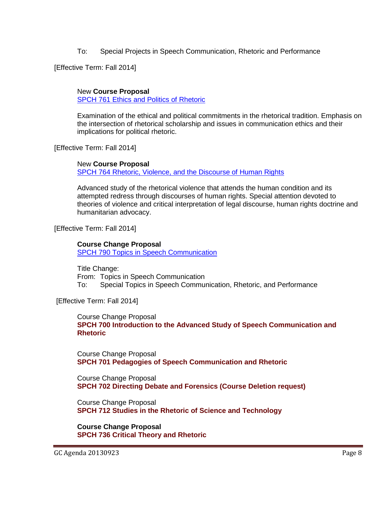To: Special Projects in Speech Communication, Rhetoric and Performance

[Effective Term: Fall 2014]

## New **Course Proposal**

SPCH 761 Ethics and Politics of Rhetoric

Examination of the ethical and political commitments in the rhetorical tradition. Emphasis on the intersection of rhetorical scholarship and issues in communication ethics and their implications for political rhetoric.

[Effective Term: Fall 2014]

## New **Course Proposal**

SPCH 764 Rhetoric, Violence, and the Discourse of Human Rights

Advanced study of the rhetorical violence that attends the human condition and its attempted redress through discourses of human rights. Special attention devoted to theories of violence and critical interpretation of legal discourse, human rights doctrine and humanitarian advocacy.

[Effective Term: Fall 2014]

**Course Change Proposal** SPCH 790 Topics in Speech Communication

Title Change: From: Topics in Speech Communication To: Special Topics in Speech Communication, Rhetoric, and Performance

[Effective Term: Fall 2014]

Course Change Proposal **[SPCH 700 Introduction to the Advanced Study of Speech Communication and](http://gradschool.sc.edu/facstaff/gradcouncil/2013/814%20CCP%20SPCH%20700%20BCH%20JUS_Redacted.pdf)  [Rhetoric](http://gradschool.sc.edu/facstaff/gradcouncil/2013/814%20CCP%20SPCH%20700%20BCH%20JUS_Redacted.pdf)**

Course Change Proposal **[SPCH 701 Pedagogies of Speech Communication and Rhetoric](http://gradschool.sc.edu/facstaff/gradcouncil/2013/814%20CCP%20SPCH%20701%20BCH%20JUS_Redacted.pdf)**

Course Change Proposal **[SPCH 702 Directing Debate and Forensics \(Course Deletion request\)](http://gradschool.sc.edu/facstaff/gradcouncil/2013/814%20CCP%20SPCH%20702%20JUS_Redacted.pdf)**

Course Change Proposal **[SPCH 712 Studies in the Rhetoric of Science and Technology](http://gradschool.sc.edu/facstaff/gradcouncil/2013/814%20CCP%20SPCH%20712%20BCH%20JUS_Redacted.pdf)**

**Course Change Proposal [SPCH 736 Critical Theory and Rhetoric](http://gradschool.sc.edu/facstaff/gradcouncil/2013/814%20NCP%20SPCH%20736%20JUS_Redacted.pdf)**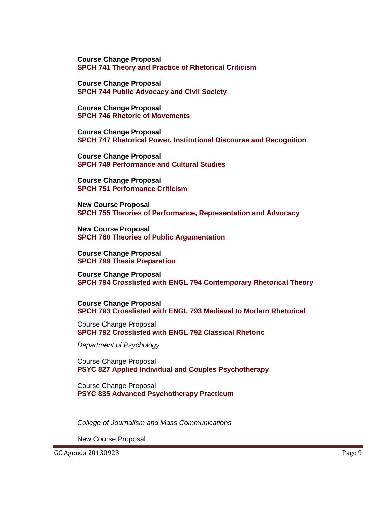**Course Change Proposal [SPCH 741 Theory and Practice of Rhetorical Criticism](http://gradschool.sc.edu/facstaff/gradcouncil/2013/814%20CCP%20SPCH%20741%20BCH%20JUS_Redacted.pdf)**

**Course Change Proposal [SPCH 744 Public Advocacy and Civil Society](http://gradschool.sc.edu/facstaff/gradcouncil/2013/814%20CCP%20SPCH%20744%20BCH%20JUS_Redacted.pdf)**

**Course Change Proposal [SPCH 746 Rhetoric of Movements](http://gradschool.sc.edu/facstaff/gradcouncil/2013/814%20CCP%20SPCH%20746%20%20BCH%20JUS_Redacted.pdf)**

**Course Change Proposal [SPCH 747 Rhetorical Power, Institutional Discourse and Recognition](http://gradschool.sc.edu/facstaff/gradcouncil/2013/814%20NCP%20SPCH%20747%20JUS_Redacted.pdf)**

**Course Change Proposal [SPCH 749 Performance and Cultural Studies](http://gradschool.sc.edu/facstaff/gradcouncil/2013/814%20CCP%20SPCH%20749%20BCH%20JUS_Redacted.pdf)**

**Course Change Proposal [SPCH 751 Performance Criticism](http://gradschool.sc.edu/facstaff/gradcouncil/2013/814%20NCP%20SPCH%20751%20JUS_Redacted.pdf)**

**New Course Proposal [SPCH 755 Theories of Performance, Representation and Advocacy](http://gradschool.sc.edu/facstaff/gradcouncil/2013/814%20NCP%20SPCH%20755%20JUS_Redacted.pdf)**

**New Course Proposal [SPCH 760 Theories of Public Argumentation](http://gradschool.sc.edu/facstaff/gradcouncil/2013/814%20CCP%20SPCH%20760%20BCH%20JUS_Redacted.pdf)**

**Course Change Proposal [SPCH 799 Thesis Preparation](http://gradschool.sc.edu/facstaff/gradcouncil/2013/815%20spch%20799%20Thesis%20Preparation%20ccp_Redacted.pdf)**

**Course Change Proposal [SPCH 794 Crosslisted with ENGL 794 Contemporary Rhetorical Theory](http://gradschool.sc.edu/facstaff/gradcouncil/2013/815%20spch-engl%20794%20crosslist%20ccp_Redacted.pdf)**

**Course Change Proposal [SPCH 793 Crosslisted with ENGL 793 Medieval to Modern Rhetorical](http://gradschool.sc.edu/facstaff/gradcouncil/2013/815%20spch-engl%20793%20crosslist%20ccp_Redacted.pdf)** 

Course Change Proposal **[SPCH 792 Crosslisted with ENGL 792 Classical Rhetoric](http://gradschool.sc.edu/facstaff/gradcouncil/2013/815%20spch-engl%20792%20crosslist%20ccp_Redacted.pdf)**

*Department of Psychology*

Course Change Proposal **[PSYC 827 Applied Individual and Couples Psychotherapy](http://gradschool.sc.edu/facstaff/gradcouncil/2013/PSYC%20827%20CCP%207-30-13_Redacted.pdf)**

Course Change Proposal **[PSYC 835 Advanced Psychotherapy Practicum](http://gradschool.sc.edu/facstaff/gradcouncil/2013/PSYC%20835%20CCP%207-30-13_Redacted.pdf)**

*College of Journalism and Mass Communications*

New Course Proposal